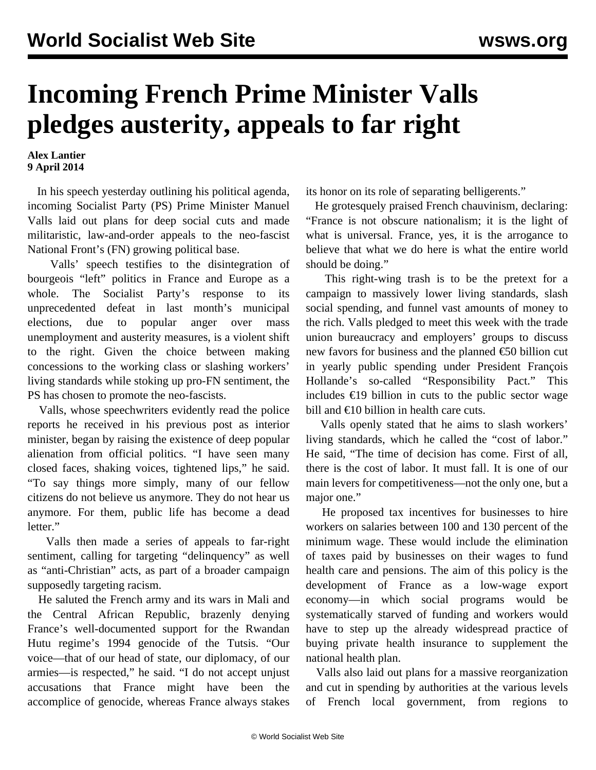## **Incoming French Prime Minister Valls pledges austerity, appeals to far right**

## **Alex Lantier 9 April 2014**

 In his speech yesterday outlining his political agenda, incoming Socialist Party (PS) Prime Minister Manuel Valls laid out plans for deep social cuts and made militaristic, law-and-order appeals to the neo-fascist National Front's (FN) growing political base.

 Valls' speech testifies to the disintegration of bourgeois "left" politics in France and Europe as a whole. The Socialist Party's response to its unprecedented defeat in last month's municipal elections, due to popular anger over mass unemployment and austerity measures, is a violent shift to the right. Given the choice between making concessions to the working class or slashing workers' living standards while stoking up pro-FN sentiment, the PS has chosen to promote the neo-fascists.

 Valls, whose speechwriters evidently read the police reports he received in his previous post as interior minister, began by raising the existence of deep popular alienation from official politics. "I have seen many closed faces, shaking voices, tightened lips," he said. "To say things more simply, many of our fellow citizens do not believe us anymore. They do not hear us anymore. For them, public life has become a dead letter."

 Valls then made a series of appeals to far-right sentiment, calling for targeting "delinquency" as well as "anti-Christian" acts, as part of a broader campaign supposedly targeting racism.

 He saluted the French army and its wars in Mali and the Central African Republic, brazenly denying France's well-documented support for the Rwandan Hutu regime's 1994 genocide of the Tutsis. "Our voice—that of our head of state, our diplomacy, of our armies—is respected," he said. "I do not accept unjust accusations that France might have been the accomplice of genocide, whereas France always stakes

its honor on its role of separating belligerents."

 He grotesquely praised French chauvinism, declaring: "France is not obscure nationalism; it is the light of what is universal. France, yes, it is the arrogance to believe that what we do here is what the entire world should be doing."

 This right-wing trash is to be the pretext for a campaign to massively lower living standards, slash social spending, and funnel vast amounts of money to the rich. Valls pledged to meet this week with the trade union bureaucracy and employers' groups to discuss new favors for business and the planned €50 billion cut in yearly public spending under President François Hollande's so-called "Responsibility Pact." This includes €19 billion in cuts to the public sector wage bill and €10 billion in health care cuts.

 Valls openly stated that he aims to slash workers' living standards, which he called the "cost of labor." He said, "The time of decision has come. First of all, there is the cost of labor. It must fall. It is one of our main levers for competitiveness—not the only one, but a major one."

 He proposed tax incentives for businesses to hire workers on salaries between 100 and 130 percent of the minimum wage. These would include the elimination of taxes paid by businesses on their wages to fund health care and pensions. The aim of this policy is the development of France as a low-wage export economy—in which social programs would be systematically starved of funding and workers would have to step up the already widespread practice of buying private health insurance to supplement the national health plan.

 Valls also laid out plans for a massive reorganization and cut in spending by authorities at the various levels of French local government, from regions to